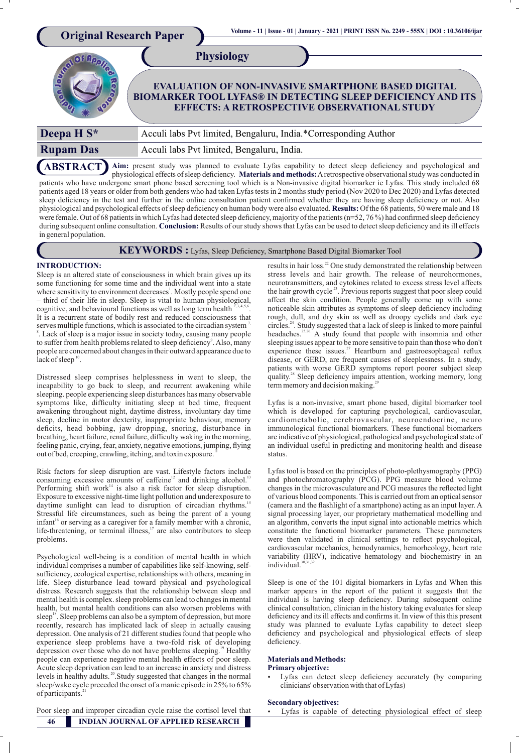| <b>Original Research Paper</b> | Volume - 11   Issue - 01   January - 2021   PRINT ISSN No. 2249 - 555X   DOI : 10.36106/ijar                                                                                                                 |
|--------------------------------|--------------------------------------------------------------------------------------------------------------------------------------------------------------------------------------------------------------|
|                                | <b>Physiology</b><br><b>EVALUATION OF NON-INVASIVE SMARTPHONE BASED DIGITAL</b><br><b>BIOMARKER TOOL LYFAS® IN DETECTING SLEEP DEFICIENCY AND ITS</b><br><b>EFFECTS: A RETROSPECTIVE OBSERVATIONAL STUDY</b> |
| Deepa H S*                     | Acculi labs Pvt limited, Bengaluru, India.*Corresponding Author                                                                                                                                              |
| <b>Rupam Das</b>               | Acculi labs Pvt limited, Bengaluru, India.                                                                                                                                                                   |

**ABSTRACT** Aim: present study was planned to evaluate Lyfas capability to detect sleep deficiency and psychological and physiological effects of sleep deficiency. Materials and methods: A retrospective observational study was conducted in patients who have undergone smart phone based screening tool which is a Non-invasive digital biomarker ie Lyfas. This study included 68 patients aged 18 years or older from both genders who had taken Lyfas tests in 2 months study period (Nov 2020 to Dec 2020) and Lyfas detected sleep deficiency in the test and further in the online consultation patient confirmed whether they are having sleep deficiency or not. Also physiological and psychological effects of sleep deficiency on human body were also evaluated. Results: Of the 68 patients, 50 were male and 18 were female. Out of 68 patients in which Lyfas had detected sleep deficiency, majority of the patients (n=52, 76 %) had confirmed sleep deficiency during subsequent online consultation. Conclusion: Results of our study shows that Lyfas can be used to detect sleep deficiency and its ill effects in general population.



# **KEYWORDS** : Lyfas, Sleep Deficiency, Smartphone Based Digital Biomarker Tool

# **INTRODUCTION:**

Sleep is an altered state of consciousness in which brain gives up its some functioning for some time and the individual went into a state where sensitivity to environment decreases<sup>1</sup>. Mostly people spend one – third of their life in sleep. Sleep is vital to human physiological, cognitive, and behavioural functions as well as long term health It is a recurrent state of bodily rest and reduced consciousness that serves multiple functions, which is associated to the circadian system 8 . Lack of sleep is a major issue in society today, causing many people to suffer from health problems related to sleep deficiency<sup>9</sup>. Also, many people are concerned about changes in their outward appearance due to lack of sleep  $^{10}$ .

Distressed sleep comprises helplessness in went to sleep, the incapability to go back to sleep, and recurrent awakening while sleeping. people experiencing sleep disturbances has many observable symptoms like, difficulty initiating sleep at bed time, frequent awakening throughout night, daytime distress, involuntary day time sleep, decline in motor dexterity, inappropriate behaviour, memory deficits, head bobbing, jaw dropping, snoring, disturbance in breathing, heart failure, renal failure, difficulty waking in the morning, feeling panic, crying, fear, anxiety, negative emotions, jumping, flying out of bed, creeping, crawling, itching, and toxin exposure.

Risk factors for sleep disruption are vast. Lifestyle factors include consuming excessive amounts of caffeine<sup>12</sup> and drinking alcohol.<sup>12</sup> Performing shift work<sup>14</sup> is also a risk factor for sleep disruption. Exposure to excessive night-time light pollution and underexposure to daytime sunlight can lead to disruption of circadian rhythms.<sup>1</sup> Stressful life circumstances, such as being the parent of a young infant<sup>16</sup> or serving as a caregiver for a family member with a chronic, life-threatening, or terminal illness, $17$  are also contributors to sleep problems.

Psychological well-being is a condition of mental health in which individual comprises a number of capabilities like self-knowing, selfsufficiency, ecological expertise, relationships with others, meaning in life. Sleep disturbance lead toward physical and psychological distress. Research suggests that the relationship between sleep and mental health is complex. sleep problems can lead to changes in mental health, but mental health conditions can also worsen problems with sleep<sup>18</sup>. Sleep problems can also be a symptom of depression, but more recently, research has implicated lack of sleep in actually causing depression. One analysis of 21 different studies found that people who experience sleep problems have a two-fold risk of developing depression over those who do not have problems sleeping.<sup>19</sup> Healthy people can experience negative mental health effects of poor sleep. Acute sleep deprivation can lead to an increase in anxiety and distress levels in healthy adults.<sup>20</sup> Study suggested that changes in the normal sleep/wake cycle preceded the onset of a manic episode in 25% to 65% of participants.<sup>2</sup>

Poor sleep and improper circadian cycle raise the cortisol level that

results in hair loss.<sup>22</sup> One study demonstrated the relationship between stress levels and hair growth. The release of neurohormones, neurotransmitters, and cytokines related to excess stress level affects the hair growth cycle<sup>23</sup>. Previous reports suggest that poor sleep could affect the skin condition. People generally come up with some noticeable skin attributes as symptoms of sleep deficiency including rough, dull, and dry skin as well as droopy eyelids and dark eye circles.<sup>24</sup>. Study suggested that a lack of sleep is linked to more painful headaches.<sup>25,26</sup>. A study found that people with insomnia and other sleeping issues appear to be more sensitive to pain than those who don't experience these issues. $27$  Heartburn and gastroesophageal reflux disease, or GERD, are frequent causes of sleeplessness. In a study, patients with worse GERD symptoms report poorer subject sleep quality.<sup>28</sup> Sleep deficiency impairs attention, working memory, long term memory and decision making.<sup>2</sup>

Lyfas is a non-invasive, smart phone based, digital biomarker tool which is developed for capturing psychological, cardiovascular, cardiometabolic, cerebrovascular, neuroendocrine, neuro immunological functional biomarkers. These functional biomarkers are indicative of physiological, pathological and psychological state of an individual useful in predicting and monitoring health and disease status.

Lyfas tool is based on the principles of photo-plethysmography (PPG) and photochromatography (PCG). PPG measure blood volume changes in the microvasculature and PCG measures the reflected light of various blood components. This is carried out from an optical sensor  $(c$ amera and the flashlight of a smartphone) acting as an input layer. A signal processing layer, our proprietary mathematical modelling and an algorithm, converts the input signal into actionable metrics which constitute the functional biomarker parameters. These parameters were then validated in clinical settings to reflect psychological, cardiovascular mechanics, hemodynamics, hemorheology, heart rate variability (HRV), indicative hematology and biochemistry in an individual.

Sleep is one of the 101 digital biomarkers in Lyfas and When this marker appears in the report of the patient it suggests that the individual is having sleep deficiency. During subsequent online clinical consultation, clinician in the history taking evaluates for sleep deficiency and its ill effects and confirms it. In view of this this present study was planned to evaluate Lyfas capability to detect sleep deficiency and psychological and physiological effects of sleep deficiency.

### **Materials and Methods: Primary objective:**

- 
- Lyfas can detect sleep deficiency accurately (by comparing clinicians' observation with that of Lyfas)

## **Secondary objectives:**

Lyfas is capable of detecting physiological effect of sleep

**46 INDIAN JOURNAL OF APPLIED RESEARCH**